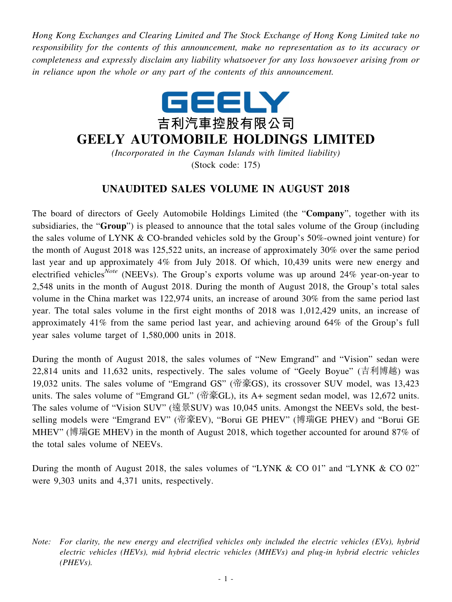*Hong Kong Exchanges and Clearing Limited and The Stock Exchange of Hong Kong Limited take no responsibility for the contents of this announcement, make no representation as to its accuracy or completeness and expressly disclaim any liability whatsoever for any loss howsoever arising from or in reliance upon the whole or any part of the contents of this announcement.*



## **GEELY AUTOMOBILE HOLDINGS LIMITED**

*(Incorporated in the Cayman Islands with limited liability)* (Stock code: 175)

## **UNAUDITED SALES VOLUME IN AUGUST 2018**

The board of directors of Geely Automobile Holdings Limited (the "**Company**", together with its subsidiaries, the "**Group**") is pleased to announce that the total sales volume of the Group (including the sales volume of LYNK & CO-branded vehicles sold by the Group's 50%-owned joint venture) for the month of August 2018 was 125,522 units, an increase of approximately 30% over the same period last year and up approximately 4% from July 2018. Of which, 10,439 units were new energy and electrified vehicles*Note* (NEEVs). The Group's exports volume was up around 24% year-on-year to 2,548 units in the month of August 2018. During the month of August 2018, the Group's total sales volume in the China market was 122,974 units, an increase of around 30% from the same period last year. The total sales volume in the first eight months of 2018 was 1,012,429 units, an increase of approximately 41% from the same period last year, and achieving around 64% of the Group's full year sales volume target of 1,580,000 units in 2018.

During the month of August 2018, the sales volumes of "New Emgrand" and "Vision" sedan were 22,814 units and 11,632 units, respectively. The sales volume of "Geely Boyue" (吉利博越) was 19,032 units. The sales volume of "Emgrand GS" (帝豪GS), its crossover SUV model, was 13,423 units. The sales volume of "Emgrand GL" (帝豪GL), its A+ segment sedan model, was 12,672 units. The sales volume of "Vision SUV" (遠景SUV) was 10,045 units. Amongst the NEEVs sold, the bestselling models were "Emgrand EV" (帝豪EV), "Borui GE PHEV" (博瑞GE PHEV) and "Borui GE MHEV" (博瑞GE MHEV) in the month of August 2018, which together accounted for around 87% of the total sales volume of NEEVs.

During the month of August 2018, the sales volumes of "LYNK & CO 01" and "LYNK & CO 02" were 9,303 units and 4,371 units, respectively.

*Note: For clarity, the new energy and electrified vehicles only included the electric vehicles (EVs), hybrid electric vehicles (HEVs), mid hybrid electric vehicles (MHEVs) and plug-in hybrid electric vehicles (PHEVs).*